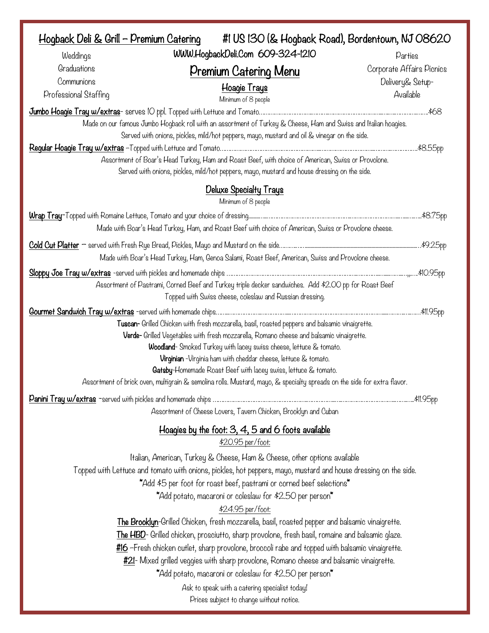| Hogback Deli & Grill - Premium Catering            | #1 US 130 (& Hogback Road), Bordentown, NJ 08620                                                                                                                                                                                                                                                                                                                                                                                                                                                                                                                                                                                                                                                                                                                                                                                                                                                                                           |                                                            |  |
|----------------------------------------------------|--------------------------------------------------------------------------------------------------------------------------------------------------------------------------------------------------------------------------------------------------------------------------------------------------------------------------------------------------------------------------------------------------------------------------------------------------------------------------------------------------------------------------------------------------------------------------------------------------------------------------------------------------------------------------------------------------------------------------------------------------------------------------------------------------------------------------------------------------------------------------------------------------------------------------------------------|------------------------------------------------------------|--|
| Weddings                                           | WWW.HogbackDeli.Com 609-324-1210                                                                                                                                                                                                                                                                                                                                                                                                                                                                                                                                                                                                                                                                                                                                                                                                                                                                                                           | Parties                                                    |  |
| Graduations<br>Communions<br>Professional Staffing | Premium Catering Menu<br>Hoagie Trays<br>Minimum of 8 people                                                                                                                                                                                                                                                                                                                                                                                                                                                                                                                                                                                                                                                                                                                                                                                                                                                                               | Corporate Affairs Picnics<br>Delivery& Setup-<br>Available |  |
|                                                    |                                                                                                                                                                                                                                                                                                                                                                                                                                                                                                                                                                                                                                                                                                                                                                                                                                                                                                                                            | .\$68                                                      |  |
|                                                    | Made on our famous Jumbo Hogback roll with an assortment of Turkey & Cheese, Ham and Swiss and Italian hoagies.<br>Served with onions, pickles, mild/hot peppers, mayo, mustard and oil & vinegar on the side.                                                                                                                                                                                                                                                                                                                                                                                                                                                                                                                                                                                                                                                                                                                             |                                                            |  |
|                                                    | Assortment of Boar's Head Turkey, Ham and Roast Beef, with choice of American, Swiss or Provolone.<br>Served with onions, pickles, mild/hot peppers, mayo, mustard and house dressing on the side.                                                                                                                                                                                                                                                                                                                                                                                                                                                                                                                                                                                                                                                                                                                                         | .\$8.55pp                                                  |  |
|                                                    | <b>Deluxe Specialty Trays</b><br>Minimum of 8 people                                                                                                                                                                                                                                                                                                                                                                                                                                                                                                                                                                                                                                                                                                                                                                                                                                                                                       |                                                            |  |
|                                                    | Made with Boar's Head Turkey, Ham, and Roast Beef with choice of American, Swiss or Provolone cheese.                                                                                                                                                                                                                                                                                                                                                                                                                                                                                                                                                                                                                                                                                                                                                                                                                                      |                                                            |  |
|                                                    |                                                                                                                                                                                                                                                                                                                                                                                                                                                                                                                                                                                                                                                                                                                                                                                                                                                                                                                                            | \$9.25pp                                                   |  |
|                                                    | Made with Boar's Head Turkey, Ham, Genoa Salami, Roast Beef, American, Swiss and Provolone cheese.                                                                                                                                                                                                                                                                                                                                                                                                                                                                                                                                                                                                                                                                                                                                                                                                                                         |                                                            |  |
|                                                    | Assortment of Pastrami, Corned Beef and Turkey triple decker sandwiches. Add \$2.00 pp for Roast Beef<br>Topped with Swiss cheese, coleslaw and Russian dressing.                                                                                                                                                                                                                                                                                                                                                                                                                                                                                                                                                                                                                                                                                                                                                                          |                                                            |  |
|                                                    | Tuscan- Grilled Chicken with fresh mozzarella, basil, roasted peppers and balsamic vinaigrette.<br>Verde- Grilled Vegetables with fresh mozzarella, Romano cheese and balsamic vinaigrette.<br>Woodland-Smoked Turkey with lacey swiss cheese, lettuce & tomato.<br>Virginian - Virginia ham with cheddar cheese, lettuce & tomato.<br>Gatsby-Homemade Roast Beef with lacey swiss, lettuce & tomato.<br>Assortment of brick oven, multigrain & semolina rolls. Mustard, mayo, & specialty spreads on the side for extra flavor.                                                                                                                                                                                                                                                                                                                                                                                                           |                                                            |  |
|                                                    | Assortment of Cheese Lovers, Tavern Chicken, Brooklyn and Cuban                                                                                                                                                                                                                                                                                                                                                                                                                                                                                                                                                                                                                                                                                                                                                                                                                                                                            |                                                            |  |
|                                                    | Hoagies by the foot: 3, 4, 5 and 6 foots available                                                                                                                                                                                                                                                                                                                                                                                                                                                                                                                                                                                                                                                                                                                                                                                                                                                                                         |                                                            |  |
|                                                    | \$20.95 per/foot:<br>Italian, American, Turkey & Cheese, Ham & Cheese, other options available<br>Topped with Lettuce and tomato with onions, pickles, hot peppers, mayo, mustard and house dressing on the side.<br>*Add \$5 per foot for roast beef, pastrami or corned beef selections*<br>*Add potato, macaroni or coleslaw for \$2.50 per person*<br>\$24.95 per/foot:<br>The Brooklyn-Grilled Chicken, fresh mozzarella, basil, roasted pepper and balsamic vinaigrette.<br>The HBD- Grilled chicken, prosciutto, sharp provolone, fresh basil, romaine and balsamic glaze.<br>#16 -Fresh chicken cutlet, sharp provolone, broccoli rabe and topped with balsamic vinaigrette.<br>#21- Mixed grilled veggies with sharp provolone, Romano cheese and balsamic vinaigrette.<br>*Add potato, macaroni or coleslaw for \$2.50 per person*<br>Ask to speak with a catering specialist today!<br>Prices subject to change without notice. |                                                            |  |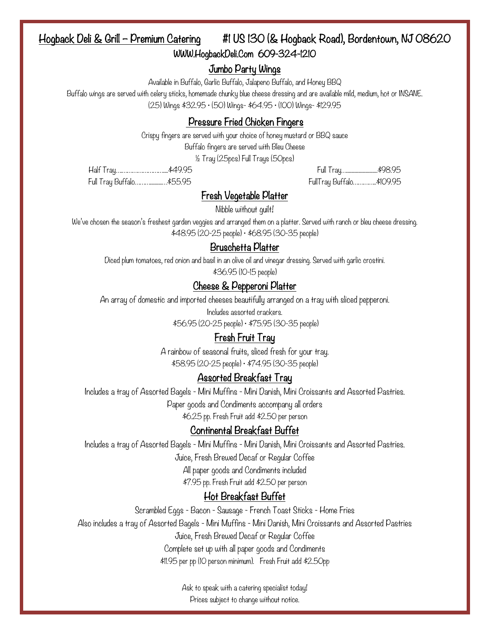## Hogback Deli & Grill – Premium Catering #1 US 130 (& Hogback Road), Bordentown, NJ 08620 WWW.HogbackDeli.Com 609-324-1210

#### Jumbo Party Wings

Available in Buffalo, Garlic Buffalo, Jalapeno Buffalo, and Honey BBQ

Buffalo wings are served with celery sticks, homemade chunky blue cheese dressing and are available mild, medium, hot or INSANE. (25) Wings \$32.95 • (50) Wings- \$64.95 • (100) Wings- \$129.95

### Pressure Fried Chicken Fingers

Crispy fingers are served with your choice of honey mustard or BBQ sauce

Buffalo fingers are served with Bleu Cheese

½ Tray (25pcs) Full Trays (50pcs)

Half Tray….……………………....\$49.95 Full Tray…..........................\$98.95 Full Tray Buffalo………..........…\$55.95 FullTray Buffalo…………..\$109.95

#### Fresh Vegetable Platter

Nibble without guilt!

We've chosen the season's freshest garden veggies and arranged them on a platter. Served with ranch or bleu cheese dressing. \$48.95 (20-25 people) • \$68.95 (30-35 people)

#### Bruschetta Platter

Diced plum tomatoes, red onion and basil in an olive oil and vinegar dressing. Served with garlic crostini. \$36.95 (10-15 people)

## Cheese & Pepperoni Platter

An array of domestic and imported cheeses beautifully arranged on a tray with sliced pepperoni.

Includes assorted crackers.

\$56.95 (20-25 people) • \$75.95 (30-35 people)

#### Fresh Fruit Tray

A rainbow of seasonal fruits, sliced fresh for your tray. \$58.95 (20-25 people) • \$74.95 (30-35 people)

#### Assorted Breakfast Tray

Includes a tray of Assorted Bagels - Mini Muffins - Mini Danish, Mini Croissants and Assorted Pastries.

Paper goods and Condiments accompany all orders

\$6.25 pp. Fresh Fruit add \$2.50 per person

#### Continental Breakfast Buffet

Includes a tray of Assorted Bagels - Mini Muffins - Mini Danish, Mini Croissants and Assorted Pastries.

Juice, Fresh Brewed Decaf or Regular Coffee

All paper goods and Condiments included \$7.95 pp. Fresh Fruit add \$2.50 per person

#### Hot Breakfast Buffet

Scrambled Eggs - Bacon - Sausage - French Toast Sticks - Home Fries

Also includes a tray of Assorted Bagels - Mini Muffins - Mini Danish, Mini Croissants and Assorted Pastries

Juice, Fresh Brewed Decaf or Regular Coffee

Complete set up with all paper goods and Condiments

\$11.95 per pp (10 person minimum). Fresh Fruit add \$2.50pp

Ask to speak with a catering specialist today! Prices subject to change without notice.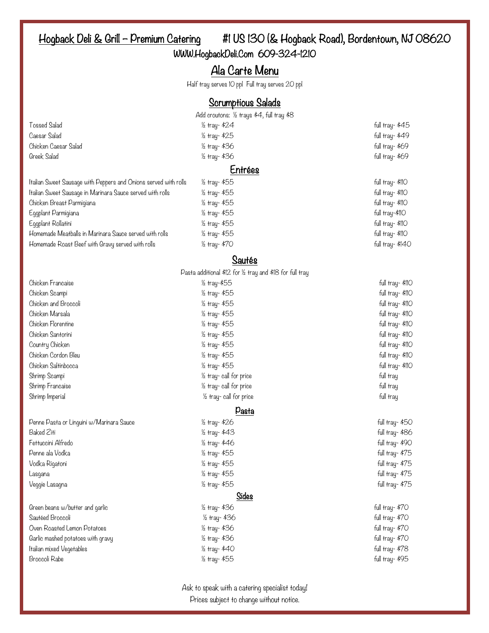# Hogback Deli & Grill – Premium Catering #1 US 130 (& Hogback Road), Bordentown, NJ 08620

WWW.HogbackDeli.Com 609-324-1210

# Ala Carte Menu

Half tray serves 10 ppl Full tray serves 20 ppl

#### Scrumptious Salads

|                                                                 | on an prove carave                                        |                  |
|-----------------------------------------------------------------|-----------------------------------------------------------|------------------|
|                                                                 | Add croutons: 1/2 trays \$4, full tray \$8                |                  |
| <b>Tossed Salad</b>                                             | 1/2 tray- \$24                                            | full tray- \$45  |
| Caesar Salad                                                    | 1/2 tray- \$25                                            | full tray- \$49  |
| Chicken Caesar Salad                                            | 1/2 tray- \$36                                            | full tray- \$69  |
| Greek Salad                                                     | 1/2 tray- \$36                                            | full tray- \$69  |
|                                                                 | Entrées                                                   |                  |
| Italian Sweet Sausage with Peppers and Onions served with rolls | 1/2 tray- \$55                                            | full tray- \$110 |
| Italian Sweet Sausage in Marinara Sauce served with rolls       | 1/2 tray- \$55                                            | full tray- \$110 |
| Chicken Breast Parmigiana                                       | 1/2 tray- \$55                                            | full tray- \$110 |
| Eggplant Parmigiana                                             | 1/2 tray- \$55                                            | full tray-\$110  |
| Eggplant Rollatini                                              | 1/2 tray- \$55                                            | full tray- \$110 |
| Homemade Meatballs in Marinara Sauce served with rolls          | 1/2 tray- \$55                                            | full tray- \$110 |
| Homemade Roast Beef with Gravy served with rolls                | 1/2 tray- \$70                                            | full tray-\$140  |
|                                                                 | Sautés                                                    |                  |
|                                                                 | Pasta additional \$12 for 1/2 tray and \$18 for full tray |                  |
| Chicken Francaise                                               | 1/2 tray-\$55                                             | full tray- \$110 |
| Chicken Scampi                                                  | 1/2 tray- \$55                                            | full tray- \$110 |
| Chicken and Broccoli                                            | 1/2 tray- \$55                                            | full tray- \$110 |
| Chicken Marsala                                                 | 1/2 tray- \$55                                            | full tray- \$110 |
| Chicken Florentine                                              | 1/2 tray- \$55                                            | full tray- \$110 |
| Chicken Santorini                                               | 1/2 tray- \$55                                            | full tray- \$110 |
| Country Chicken                                                 | 1/2 tray- \$55                                            | full tray- \$110 |
| Chicken Cordon Bleu                                             | 1/2 tray- \$55                                            | full tray- \$110 |
| Chicken Saltinbocca                                             | 1/2 tray- \$55                                            | full tray- \$110 |
| Shrimp Scampi                                                   | 1/2 tray-call for price                                   | full tray        |
| Shrimp Francaise                                                | 1/2 tray-call for price                                   | full tray        |
| Shrimp Imperial                                                 | 1/2 tray-call for price                                   | full tray        |
|                                                                 | Pasta                                                     |                  |
| Penne Pasta or Linguini w/Marinara Sauce                        | 1/2 tray- \$26                                            | full tray- \$50  |
| Baked Ziti                                                      | 1/2 tray- \$43                                            | full tray- \$86  |
| Fettuccini Alfredo                                              | 1/2 tray- \$46                                            | full tray- \$90  |
| Penne ala Vodka                                                 | 1/2 tray- \$55                                            | full tray- \$75  |
| Vodka Rigatoni                                                  | 1/2 tray- \$55                                            | full tray- \$75  |
| Lasgana                                                         | 1/2 tray- \$55                                            | full tray- \$75  |
| Veggie Lasagna                                                  | 1/2 tray- \$55                                            | full tray- \$75  |
|                                                                 | Sides                                                     |                  |
| Green beans w/butter and garlic                                 | 1⁄2 tray- \$36                                            | full tray- \$70  |
| Sautéed Broccoli                                                | 1/2 tray- \$36                                            | full tray- \$70  |
| Oven Roasted Lemon Potatoes                                     | 1/2 tray- \$36                                            | full tray- \$70  |
| Garlic mashed potatoes with gravy                               | 1/2 tray- \$36                                            | full tray- \$70  |
| Italian mixed Vegetables                                        | 1/2 tray- \$40                                            | full tray- \$78  |

Ask to speak with a catering specialist today! Prices subject to change without notice.

Broccoli Rabe ½ tray- \$55 full tray- \$95